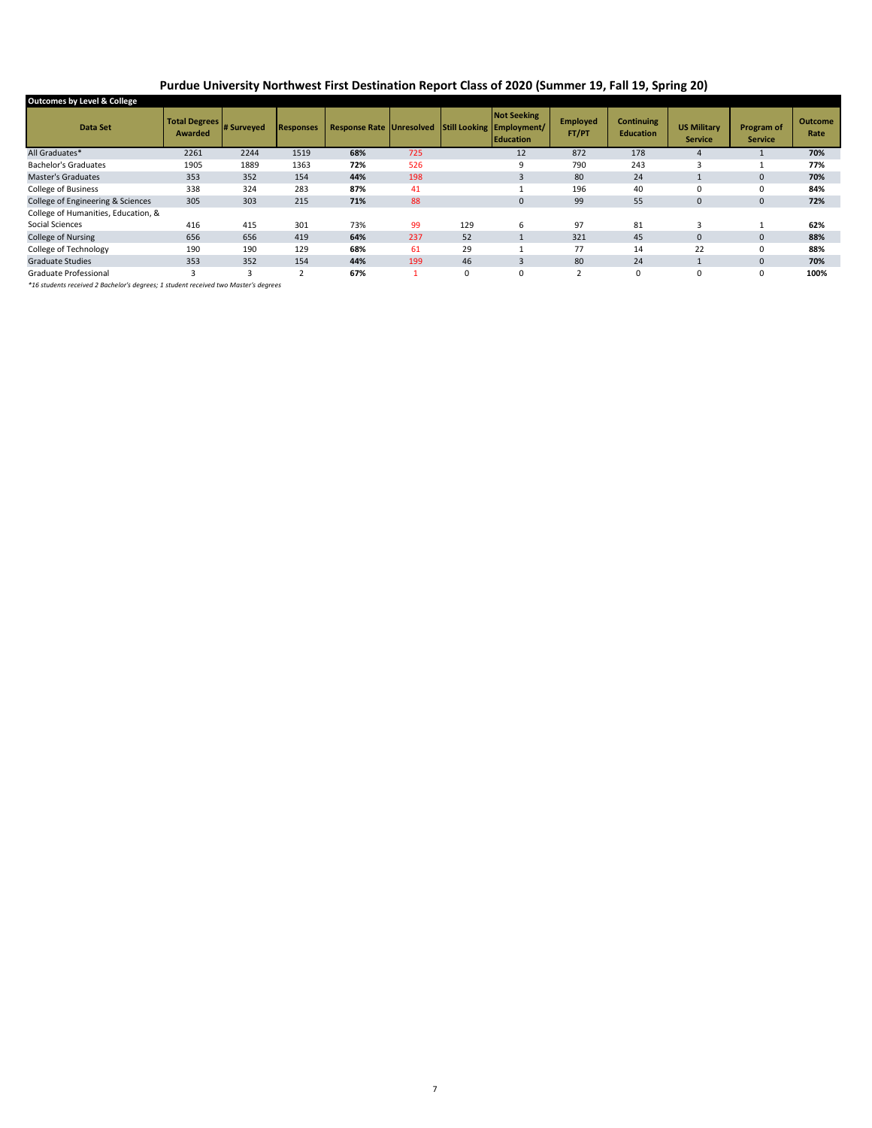## **Purdue University Northwest First Destination Report Class of 2020 (Summer 19, Fall 19, Spring 20)**

| Outcomes by Level & College         |                                     |      |                  |                                 |     |     |                                                                     |                          |                                       |                                      |                                     |                 |
|-------------------------------------|-------------------------------------|------|------------------|---------------------------------|-----|-----|---------------------------------------------------------------------|--------------------------|---------------------------------------|--------------------------------------|-------------------------------------|-----------------|
| Data Set                            | Total Degrees # Surveyed<br>Awarded |      | <b>Responses</b> | <b>Response Rate Unresolved</b> |     |     | <b>Not Seeking</b><br>Still Looking Employment/<br><b>Education</b> | <b>Employed</b><br>FT/PT | <b>Continuing</b><br><b>Education</b> | <b>US Military</b><br><b>Service</b> | <b>Program of</b><br><b>Service</b> | Outcome<br>Rate |
| All Graduates*                      | 2261                                | 2244 | 1519             | 68%                             | 725 |     | 12                                                                  | 872                      | 178                                   | $\mathbf{A}$                         |                                     | 70%             |
| <b>Bachelor's Graduates</b>         | 1905                                | 1889 | 1363             | 72%                             | 526 |     | 9                                                                   | 790                      | 243                                   | з                                    |                                     | 77%             |
| <b>Master's Graduates</b>           | 353                                 | 352  | 154              | 44%                             | 198 |     |                                                                     | 80                       | 24                                    |                                      | $\overline{0}$                      | 70%             |
| College of Business                 | 338                                 | 324  | 283              | 87%                             | 41  |     |                                                                     | 196                      | 40                                    | 0                                    | 0                                   | 84%             |
| College of Engineering & Sciences   | 305                                 | 303  | 215              | 71%                             | 88  |     | $\mathbf{0}$                                                        | 99                       | 55                                    | $\mathbf{0}$                         | $\mathbf{0}$                        | 72%             |
| College of Humanities, Education, & |                                     |      |                  |                                 |     |     |                                                                     |                          |                                       |                                      |                                     |                 |
| Social Sciences                     | 416                                 | 415  | 301              | 73%                             | 99  | 129 | 6                                                                   | 97                       | 81                                    |                                      |                                     | 62%             |
| <b>College of Nursing</b>           | 656                                 | 656  | 419              | 64%                             | 237 | 52  |                                                                     | 321                      | 45                                    | $\mathbf 0$                          | 0                                   | 88%             |
| College of Technology               | 190                                 | 190  | 129              | 68%                             | 61  | 29  |                                                                     | 77                       | 14                                    | 22                                   | 0                                   | 88%             |
| <b>Graduate Studies</b>             | 353                                 | 352  | 154              | 44%                             | 199 | 46  | 3                                                                   | 80                       | 24                                    |                                      | 0                                   | 70%             |
| Graduate Professional               | 3                                   | 3    | h                | 67%                             |     | 0   | $\Omega$                                                            | $\overline{ }$           | $\mathbf 0$                           | $\Omega$                             | 0                                   | 100%            |
|                                     |                                     |      |                  |                                 |     |     |                                                                     |                          |                                       |                                      |                                     |                 |

*\*16 students received 2 Bachelor's degrees; 1 student received two Master's degrees*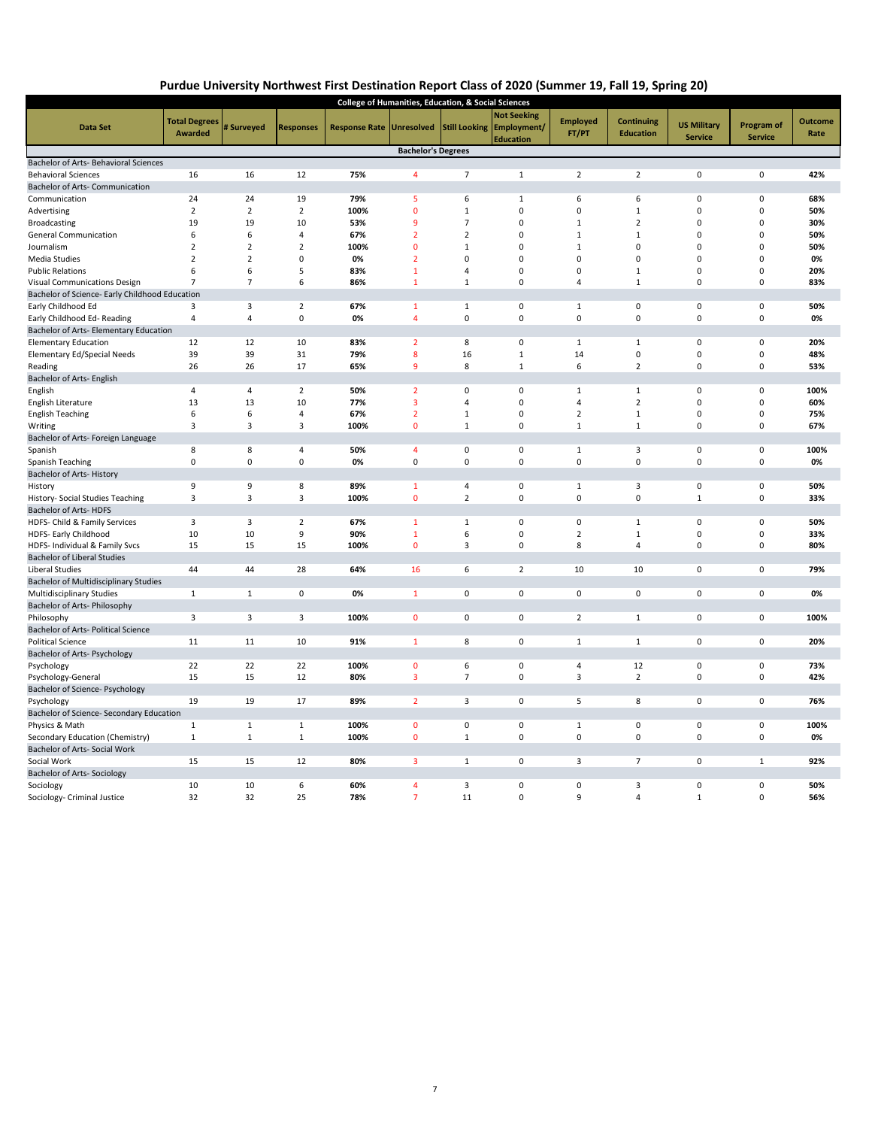## **Purdue University Northwest First Destination Report Class of 2020 (Summer 19, Fall 19, Spring 20)**

| <b>College of Humanities, Education, &amp; Social Sciences</b> |                      |                |                  |                      |                           |                |                                               |                 |                   |                    |                |                |
|----------------------------------------------------------------|----------------------|----------------|------------------|----------------------|---------------------------|----------------|-----------------------------------------------|-----------------|-------------------|--------------------|----------------|----------------|
|                                                                | <b>Total Degrees</b> |                |                  |                      |                           |                | <b>Not Seeking</b>                            | <b>Employed</b> | <b>Continuing</b> | <b>US Military</b> | Program of     | <b>Outcome</b> |
| Data Set                                                       | <b>Awarded</b>       | # Surveyed     | <b>Responses</b> | <b>Response Rate</b> | <b>Unresolved</b>         |                | Still Looking Employment/<br><b>Education</b> | FT/PT           | <b>Education</b>  | <b>Service</b>     | <b>Service</b> | Rate           |
|                                                                |                      |                |                  |                      | <b>Bachelor's Degrees</b> |                |                                               |                 |                   |                    |                |                |
| Bachelor of Arts- Behavioral Sciences                          |                      |                |                  |                      |                           |                |                                               |                 |                   |                    |                |                |
| <b>Behavioral Sciences</b>                                     | 16                   | 16             | 12               | 75%                  | 4                         | $\overline{7}$ | $\mathbf{1}$                                  | $\overline{2}$  | $\overline{2}$    | 0                  | 0              | 42%            |
| Bachelor of Arts- Communication                                |                      |                |                  |                      |                           |                |                                               |                 |                   |                    |                |                |
| Communication                                                  | 24                   | 24             | 19               | 79%                  | 5                         | 6              | $\mathbf{1}$                                  | 6               | 6                 | 0                  | 0              | 68%            |
| Advertising                                                    | $\overline{2}$       | $\overline{2}$ | $\overline{2}$   | 100%                 | $\mathbf{0}$              | $\mathbf{1}$   | $\mathbf 0$                                   | 0               | $\mathbf{1}$      | $\mathbf 0$        | 0              | 50%            |
| <b>Broadcasting</b>                                            | 19                   | 19             | 10               | 53%                  | 9                         | $\overline{7}$ | $\mathbf 0$                                   | $\mathbf{1}$    | $\overline{2}$    | $\mathbf 0$        | 0              | 30%            |
| General Communication                                          | 6                    | 6              | $\overline{4}$   | 67%                  | $\overline{2}$            | $\overline{2}$ | $\mathbf 0$                                   | $\mathbf{1}$    | $\mathbf{1}$      | $\Omega$           | $\Omega$       | 50%            |
| Journalism                                                     | $\overline{2}$       | $\overline{2}$ | $\overline{2}$   | 100%                 | $\mathbf{0}$              | $\mathbf{1}$   | $\mathbf 0$                                   | $\mathbf 1$     | 0                 | $\mathbf 0$        | $\mathbf 0$    | 50%            |
| <b>Media Studies</b>                                           | $\overline{2}$       | $\overline{2}$ | 0                | 0%                   | $\overline{2}$            | $\Omega$       | $\Omega$                                      | 0               | $\Omega$          | $\Omega$           | $\Omega$       | 0%             |
| <b>Public Relations</b>                                        | 6                    | 6              | 5                | 83%                  | $\mathbf{1}$              | $\overline{4}$ | $\mathbf 0$                                   | 0               | 1                 | $\mathbf 0$        | 0              | 20%            |
| Visual Communications Design                                   | $\overline{7}$       | $\overline{7}$ | 6                | 86%                  | $\mathbf{1}$              | $\mathbf{1}$   | $\mathbf 0$                                   | $\overline{4}$  | $\mathbf{1}$      | $\mathbf 0$        | $\mathbf 0$    | 83%            |
| Bachelor of Science- Early Childhood Education                 |                      |                |                  |                      |                           |                |                                               |                 |                   |                    |                |                |
| Early Childhood Ed                                             | 3                    | 3              | $\overline{2}$   | 67%                  | 1                         | $\mathbf{1}$   | $\mathbf 0$                                   | $\mathbf{1}$    | $\mathsf 0$       | $\mathbf 0$        | 0              | 50%            |
| Early Childhood Ed-Reading                                     | 4                    | $\overline{4}$ | $\pmb{0}$        | 0%                   | $\overline{4}$            | $\pmb{0}$      | $\pmb{0}$                                     | 0               | $\pmb{0}$         | $\mathbf 0$        | $\mathbf 0$    | 0%             |
| Bachelor of Arts- Elementary Education                         |                      |                |                  |                      |                           |                |                                               |                 |                   |                    |                |                |
| <b>Elementary Education</b>                                    | 12                   | 12             | 10               | 83%                  | $\overline{2}$            | 8              | $\mathbf 0$                                   | $1\,$           | $\mathbf{1}$      | 0                  | 0              | 20%            |
| <b>Elementary Ed/Special Needs</b>                             | 39                   | 39             | 31               | 79%                  | 8                         | 16             | $\mathbf{1}$                                  | 14              | $\mathsf 0$       | 0                  | 0              | 48%            |
| Reading                                                        | 26                   | 26             | 17               | 65%                  | 9                         | 8              | $\mathbf{1}$                                  | 6               | $\overline{2}$    | 0                  | 0              | 53%            |
| Bachelor of Arts- English                                      |                      |                |                  |                      |                           |                |                                               |                 |                   |                    |                |                |
| English                                                        | 4                    | $\overline{4}$ | $\overline{2}$   | 50%                  | $\overline{2}$            | $\mathbf 0$    | $\mathbf 0$                                   | $\mathbf{1}$    | $\mathbf{1}$      | 0                  | 0              | 100%           |
| English Literature                                             | 13                   | 13             | 10               | 77%                  | 3                         | $\overline{a}$ | $\mathbf 0$                                   | 4               | $\overline{2}$    | 0                  | 0              | 60%            |
| <b>English Teaching</b>                                        | 6                    | 6              | $\overline{4}$   | 67%                  | $\overline{2}$            | $\mathbf{1}$   | $\mathbf 0$                                   | $\overline{2}$  | $\mathbf{1}$      | $\mathbf 0$        | $\mathbf 0$    | 75%            |
| Writing                                                        | 3                    | 3              | 3                | 100%                 | $\mathbf 0$               | $\mathbf{1}$   | $\mathbf 0$                                   | $\mathbf 1$     | $\mathbf{1}$      | $\mathbf 0$        | 0              | 67%            |
| Bachelor of Arts- Foreign Language                             |                      |                |                  |                      |                           |                |                                               |                 |                   |                    |                |                |
| Spanish                                                        | 8                    | 8              | 4                | 50%                  | $\overline{4}$            | $\pmb{0}$      | $\pmb{0}$                                     | $\mathbf 1$     | 3                 | $\pmb{0}$          | 0              | 100%           |
| Spanish Teaching                                               | $\mathsf 0$          | $\pmb{0}$      | $\pmb{0}$        | 0%                   | $\mathbf 0$               | $\mathbf 0$    | $\mathbf 0$                                   | 0               | $\pmb{0}$         | $\mathbf 0$        | 0              | 0%             |
| Bachelor of Arts-History                                       |                      |                |                  |                      |                           |                |                                               |                 |                   |                    |                |                |
| History                                                        | 9                    | 9              | 8                | 89%                  | 1                         | $\overline{a}$ | $\pmb{0}$                                     | $\mathbf{1}$    | $\overline{3}$    | 0                  | $\mathbf 0$    | 50%            |
| History- Social Studies Teaching                               | 3                    | 3              | 3                | 100%                 | $\mathbf{0}$              | $\overline{2}$ | $\mathbf 0$                                   | 0               | 0                 | $\mathbf{1}$       | $\mathbf 0$    | 33%            |
| Bachelor of Arts-HDFS                                          |                      |                |                  |                      |                           |                |                                               |                 |                   |                    |                |                |
| HDFS- Child & Family Services                                  | 3                    | 3              | $\overline{2}$   | 67%                  | $\mathbf{1}$              | $\mathbf{1}$   | $\mathbf 0$                                   | 0               | $\mathbf{1}$      | 0                  | $\mathbf 0$    | 50%            |
| HDFS- Early Childhood                                          | 10                   | 10             | 9                | 90%                  | $\mathbf{1}$              | 6              | $\mathbf 0$                                   | $\overline{2}$  | 1                 | $\mathbf 0$        | 0              | 33%            |
| HDFS- Individual & Family Svcs                                 | 15                   | 15             | 15               | 100%                 | $\mathbf{0}$              | $\overline{3}$ | $\mathbf 0$                                   | 8               | $\overline{4}$    | $\mathbf 0$        | $\mathbf 0$    | 80%            |
| <b>Bachelor of Liberal Studies</b>                             |                      |                |                  |                      |                           |                |                                               |                 |                   |                    |                |                |
| Liberal Studies                                                | 44                   | 44             | 28               | 64%                  | 16                        | 6              | $\overline{2}$                                | 10              | 10                | $\mathbf 0$        | $\pmb{0}$      | 79%            |
| Bachelor of Multidisciplinary Studies                          |                      |                |                  |                      |                           |                |                                               |                 |                   |                    |                |                |
| Multidisciplinary Studies                                      | $\mathbf{1}$         | $\mathbf{1}$   | $\pmb{0}$        | 0%                   | $\mathbf{1}$              | $\pmb{0}$      | $\pmb{0}$                                     | 0               | $\mathsf 0$       | $\mathsf 0$        | $\pmb{0}$      | 0%             |
| Bachelor of Arts- Philosophy                                   |                      |                |                  |                      |                           |                |                                               |                 |                   |                    |                |                |
| Philosophy                                                     | 3                    | 3              | 3                | 100%                 | $\mathbf 0$               | $\mathbf 0$    | 0                                             | $\overline{2}$  | $\mathbf{1}$      | $\mathbf 0$        | $\pmb{0}$      | 100%           |
| Bachelor of Arts- Political Science                            |                      |                |                  |                      |                           |                |                                               |                 |                   |                    |                |                |
| <b>Political Science</b>                                       | 11                   | 11             | 10               | 91%                  | $\mathbf{1}$              | 8              | $\mathbf 0$                                   | $\mathbf{1}$    | $\mathbf{1}$      | 0                  | $\mathbf 0$    | 20%            |
| Bachelor of Arts- Psychology                                   |                      |                |                  |                      |                           |                |                                               |                 |                   |                    |                |                |
| Psychology                                                     | 22                   | 22             | 22               | 100%                 | $\mathbf{0}$              | 6              | $\pmb{0}$                                     | 4               | 12                | $\pmb{0}$          | 0              | 73%            |
| Psychology-General                                             | 15                   | 15             | 12               | 80%                  | $\overline{\mathbf{3}}$   | $\overline{7}$ | $\pmb{0}$                                     | 3               | $\overline{2}$    | $\mathbf 0$        | 0              | 42%            |
| Bachelor of Science- Psychology                                |                      |                |                  |                      |                           |                |                                               |                 |                   |                    |                |                |
| Psychology                                                     | 19                   | 19             | 17               | 89%                  | $\overline{2}$            | 3              | $\mathbf 0$                                   | 5               | 8                 | $\mathbf 0$        | $\mathbf 0$    | 76%            |
| Bachelor of Science- Secondary Education                       |                      |                |                  |                      |                           |                |                                               |                 |                   |                    |                |                |
| Physics & Math                                                 | $\mathbf{1}$         | $\mathbf{1}$   | $\mathbf{1}$     | 100%                 | $\mathbf 0$               | $\mathbf 0$    | $\mathbf 0$                                   | $\mathbf{1}$    | $\mathsf 0$       | 0                  | 0              | 100%           |
| Secondary Education (Chemistry)                                | $\mathbf{1}$         | $1\,$          | $\mathbf{1}$     | 100%                 | $\mathbf 0$               | $\mathbf{1}$   | $\mathbf 0$                                   | 0               | $\mathsf 0$       | $\mathbf 0$        | $\pmb{0}$      | 0%             |
| Bachelor of Arts- Social Work                                  |                      |                |                  |                      |                           |                |                                               |                 |                   |                    |                |                |
| Social Work                                                    | 15                   | 15             | 12               | 80%                  | 3                         | $\mathbf 1$    | $\pmb{0}$                                     | 3               | $\overline{7}$    | $\pmb{0}$          | $\mathbf{1}$   | 92%            |
| <b>Bachelor of Arts- Sociology</b>                             |                      |                |                  |                      |                           |                |                                               |                 |                   |                    |                |                |
| Sociology                                                      | 10                   | 10             | 6                | 60%                  | $\overline{4}$            | 3              | $\mathbf 0$                                   | 0               | 3                 | 0                  | 0              | 50%            |
| Sociology- Criminal Justice                                    | 32                   | 32             | 25               | 78%                  | $\overline{7}$            | 11             | $\mathbf 0$                                   | 9               | 4                 | $\mathbf{1}$       | $\mathbf 0$    | 56%            |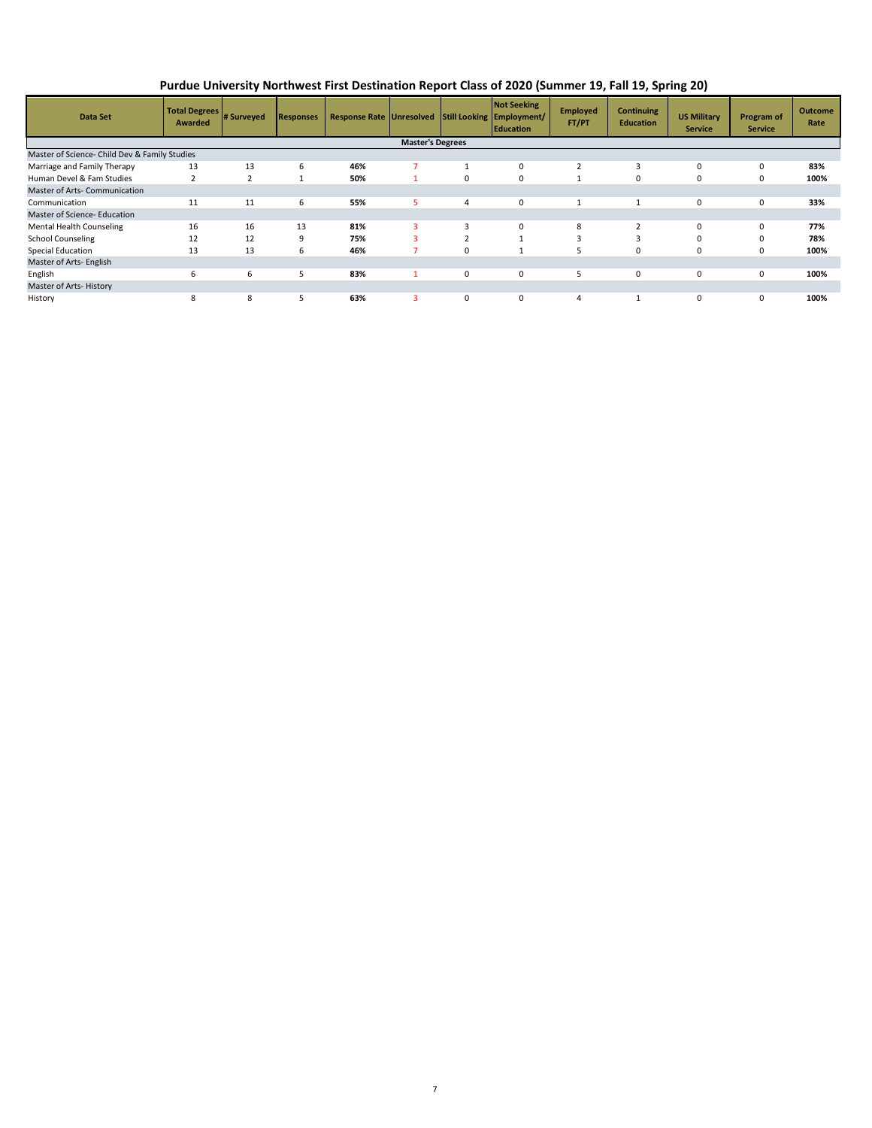**Purdue University Northwest First Destination Report Class of 2020 (Summer 19, Fall 19, Spring 20)**

| <b>Data Set</b>                               | Total Degrees # Surveyed<br>Awarded |                | <b>Responses</b> | Response Rate Unresolved Still Looking Employment/ |   |                         | <b>Not Seeking</b><br><b>Education</b> | <b>Employed</b><br>FT/PT | <b>Continuing</b><br><b>Education</b> | <b>US Military</b><br><b>Service</b> | <b>Program of</b><br><b>Service</b> | <b>Outcome</b><br>Rate |
|-----------------------------------------------|-------------------------------------|----------------|------------------|----------------------------------------------------|---|-------------------------|----------------------------------------|--------------------------|---------------------------------------|--------------------------------------|-------------------------------------|------------------------|
| <b>Master's Degrees</b>                       |                                     |                |                  |                                                    |   |                         |                                        |                          |                                       |                                      |                                     |                        |
| Master of Science- Child Dev & Family Studies |                                     |                |                  |                                                    |   |                         |                                        |                          |                                       |                                      |                                     |                        |
| Marriage and Family Therapy                   | 13                                  | 13             | 6                | 46%                                                |   |                         | $\Omega$                               |                          | 3                                     | 0                                    | $\Omega$                            | 83%                    |
| Human Devel & Fam Studies                     | $\overline{2}$                      | $\overline{2}$ |                  | 50%                                                |   | 0                       | 0                                      |                          | 0                                     | 0                                    | 0                                   | 100%                   |
| Master of Arts- Communication                 |                                     |                |                  |                                                    |   |                         |                                        |                          |                                       |                                      |                                     |                        |
| Communication                                 | 11                                  | 11             | 6                | 55%                                                |   | 4                       | 0                                      |                          | $\mathbf{1}$                          | 0                                    | $\mathbf 0$                         | 33%                    |
| Master of Science- Education                  |                                     |                |                  |                                                    |   |                         |                                        |                          |                                       |                                      |                                     |                        |
| Mental Health Counseling                      | 16                                  | 16             | 13               | 81%                                                | 3 | 3                       | 0                                      | 8                        | $\overline{2}$                        | $\Omega$                             | $\mathbf 0$                         | 77%                    |
| <b>School Counseling</b>                      | 12                                  | 12             | 9                | 75%                                                |   | $\overline{\mathbf{c}}$ |                                        |                          | 3                                     | $\Omega$                             | $\Omega$                            | 78%                    |
| Special Education                             | 13                                  | 13             | 6                | 46%                                                |   | 0                       |                                        |                          | 0                                     | 0                                    | 0                                   | 100%                   |
| Master of Arts- English                       |                                     |                |                  |                                                    |   |                         |                                        |                          |                                       |                                      |                                     |                        |
| English                                       | 6                                   | 6              | 5                | 83%                                                |   | 0                       | 0                                      |                          | 0                                     | 0                                    | $\mathbf 0$                         | 100%                   |
| Master of Arts-History                        |                                     |                |                  |                                                    |   |                         |                                        |                          |                                       |                                      |                                     |                        |
| History                                       | 8                                   | 8              | 5                | 63%                                                | з | 0                       | 0                                      | 4                        | $\mathbf{1}$                          | 0                                    | $\mathbf 0$                         | 100%                   |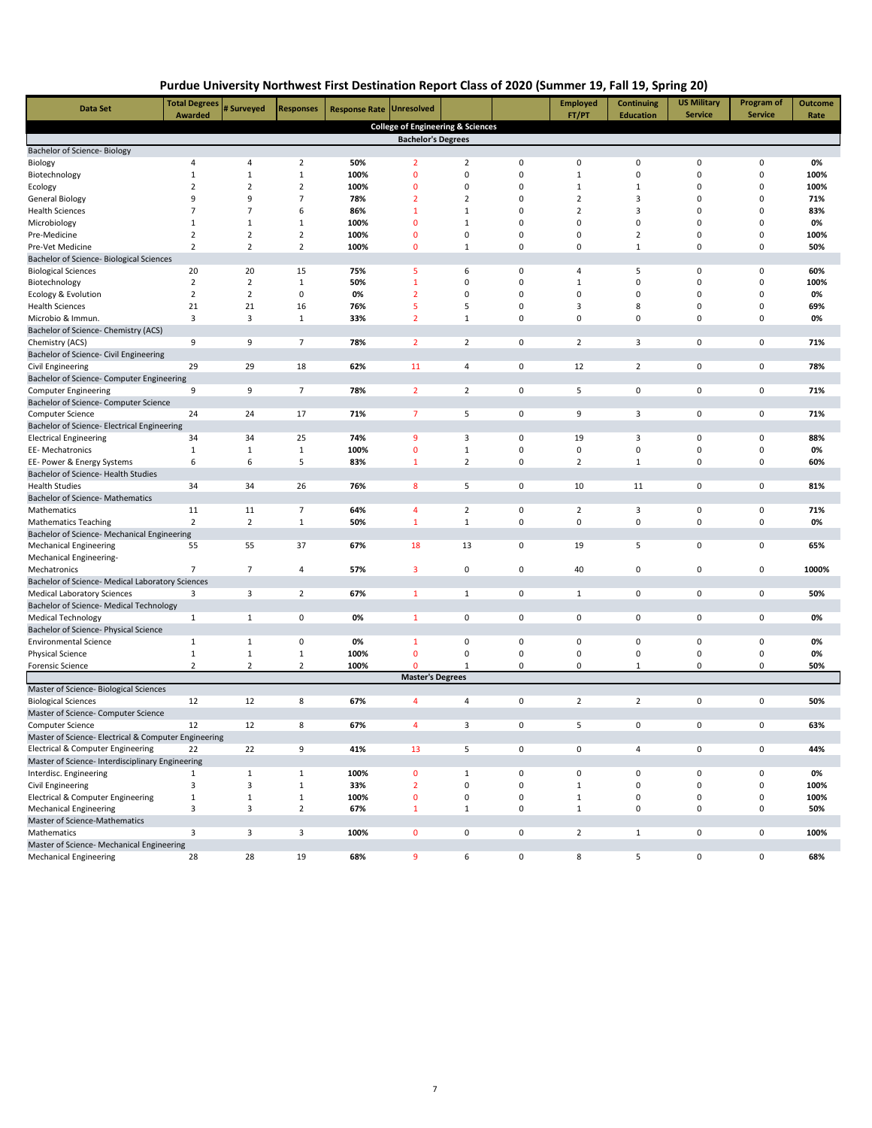| Purdue University Northwest First Destination Report Class of 2020 (Summer 19, Fall 19, Spring 20) |  |
|----------------------------------------------------------------------------------------------------|--|
|----------------------------------------------------------------------------------------------------|--|

| Data Set                                                           | <b>Total Degrees</b><br>Awarded | # Surveyed        | <b>Responses</b> | <b>Response Rate</b> | <b>Unresolved</b>                            |                |             | <b>Employed</b><br>FT/PT | Continuing<br><b>Education</b> | <b>US Military</b><br><b>Service</b> | Program of<br><b>Service</b> | <b>Outcome</b><br>Rate |
|--------------------------------------------------------------------|---------------------------------|-------------------|------------------|----------------------|----------------------------------------------|----------------|-------------|--------------------------|--------------------------------|--------------------------------------|------------------------------|------------------------|
|                                                                    |                                 |                   |                  |                      | <b>College of Engineering &amp; Sciences</b> |                |             |                          |                                |                                      |                              |                        |
|                                                                    |                                 |                   |                  |                      | <b>Bachelor's Degrees</b>                    |                |             |                          |                                |                                      |                              |                        |
| Bachelor of Science- Biology                                       |                                 |                   |                  |                      |                                              |                |             |                          |                                |                                      |                              |                        |
| Biology                                                            | 4                               | $\overline{a}$    | $\overline{2}$   | 50%                  | $\overline{2}$                               | $\overline{2}$ | 0           | 0                        | 0                              | 0                                    | 0                            | 0%                     |
| Biotechnology                                                      | $\mathbf{1}$                    | $\mathbf{1}$      | $\mathbf{1}$     | 100%                 | $\mathbf 0$                                  | $\mathbf 0$    | 0           | $\mathbf{1}$             | 0                              | 0                                    | 0                            | 100%                   |
| Ecology                                                            | $\overline{2}$                  | $\overline{2}$    | $\mathbf 2$      | 100%                 | $\mathbf 0$                                  | $\mathbf 0$    | $\mathbf 0$ | $\mathbf{1}$             | 1                              | 0                                    | 0                            | 100%                   |
| General Biology                                                    | 9                               | 9                 | $\overline{7}$   | 78%                  | $\overline{2}$                               | $\overline{2}$ | $\Omega$    | $\overline{2}$           | 3                              | 0                                    | $\Omega$                     | 71%                    |
| <b>Health Sciences</b>                                             | $\overline{7}$                  | $\overline{7}$    | 6                | 86%                  | $\mathbf{1}$                                 | $\mathbf{1}$   | $\Omega$    | $\overline{2}$           | 3                              | 0                                    | $\Omega$                     | 83%                    |
| Microbiology                                                       | $\mathbf{1}$                    | $\mathbf{1}$      | $\mathbf 1$      | 100%                 | $\mathbf 0$                                  | $\mathbf{1}$   | 0           | 0                        | 0                              | 0                                    | 0                            | 0%                     |
| Pre-Medicine                                                       | $\overline{2}$                  | $\mathbf 2$       | $\mathbf 2$      | 100%                 | 0                                            | 0              | 0           | 0                        | $\overline{2}$                 | 0                                    | 0                            | 100%                   |
| Pre-Vet Medicine                                                   | $\overline{2}$                  | $\overline{2}$    | $\overline{2}$   | 100%                 | $\mathbf 0$                                  | $\mathbf{1}$   | 0           | 0                        | $\mathbf{1}$                   | 0                                    | 0                            | 50%                    |
| Bachelor of Science- Biological Sciences                           |                                 |                   |                  |                      |                                              |                |             |                          |                                |                                      |                              |                        |
| <b>Biological Sciences</b>                                         | 20                              | 20                | 15               | 75%                  | 5                                            | 6              | 0           | 4                        | 5                              | 0                                    | 0                            | 60%                    |
| Biotechnology                                                      | $\overline{2}$                  | $\overline{2}$    | $\mathbf{1}$     | 50%                  | $\mathbf{1}$                                 | 0              | 0           | $\mathbf{1}$             | 0                              | 0                                    | 0                            | 100%                   |
| Ecology & Evolution                                                | $\overline{2}$                  | $\overline{2}$    | 0                | 0%                   | $\overline{2}$                               | 0              | 0           | 0                        | 0                              | 0                                    | 0                            | 0%                     |
| <b>Health Sciences</b>                                             | 21                              | 21                | 16               | 76%                  | 5                                            | 5              | $\mathbf 0$ | 3                        | 8                              | 0                                    | $\pmb{0}$                    | 69%                    |
| Microbio & Immun.                                                  | 3                               | 3                 | $\mathbf{1}$     | 33%                  | $\overline{2}$                               | $\mathbf{1}$   | 0           | $\mathbf 0$              | 0                              | 0                                    | 0                            | 0%                     |
| Bachelor of Science- Chemistry (ACS)<br>Chemistry (ACS)            | 9                               | 9                 | $\overline{7}$   | 78%                  | $\overline{2}$                               | $\overline{2}$ | 0           | $\overline{2}$           | 3                              | 0                                    | 0                            | 71%                    |
| Bachelor of Science- Civil Engineering                             |                                 |                   |                  |                      |                                              |                |             |                          |                                |                                      |                              |                        |
| Civil Engineering                                                  | 29                              | 29                | 18               | 62%                  | 11                                           | 4              | $\mathbf 0$ | 12                       | $\overline{2}$                 | 0                                    | $\mathsf 0$                  | 78%                    |
| Bachelor of Science- Computer Engineering                          |                                 |                   |                  |                      |                                              |                |             |                          |                                |                                      |                              |                        |
| <b>Computer Engineering</b>                                        | 9                               | 9                 | 7                | 78%                  | $\overline{2}$                               | $\overline{2}$ | 0           | 5                        | 0                              | 0                                    | 0                            | 71%                    |
| Bachelor of Science- Computer Science                              |                                 |                   |                  |                      |                                              |                |             |                          |                                |                                      |                              |                        |
| Computer Science                                                   | 24                              | 24                | 17               | 71%                  | $\overline{7}$                               | 5              | 0           | 9                        | 3                              | 0                                    | 0                            | 71%                    |
| Bachelor of Science- Electrical Engineering                        |                                 |                   |                  |                      |                                              |                |             |                          |                                |                                      |                              |                        |
| <b>Electrical Engineering</b>                                      | 34                              | 34                | 25               | 74%                  | 9                                            | 3              | 0           | 19                       | 3                              | 0                                    | 0                            | 88%                    |
| EE-Mechatronics                                                    | $\mathbf{1}$                    | $\mathbf{1}$      | $\mathbf 1$      | 100%                 | $\mathbf 0$                                  | $1\,$          | $\mathbf 0$ | 0                        | 0                              | 0                                    | 0                            | 0%                     |
| EE- Power & Energy Systems                                         | 6                               | 6                 | 5                | 83%                  | 1                                            | $\overline{2}$ | 0           | $\overline{2}$           | $\mathbf{1}$                   | 0                                    | 0                            | 60%                    |
| Bachelor of Science- Health Studies                                |                                 |                   |                  |                      |                                              |                |             |                          |                                |                                      |                              |                        |
| <b>Health Studies</b>                                              | 34                              | 34                | 26               | 76%                  | 8                                            | 5              | $\mathbf 0$ | 10                       | 11                             | 0                                    | $\mathbf 0$                  | 81%                    |
| Bachelor of Science- Mathematics                                   |                                 |                   |                  |                      |                                              |                |             |                          |                                |                                      |                              |                        |
| Mathematics                                                        | 11                              | 11                | $\overline{7}$   | 64%                  | 4                                            | $\overline{2}$ | 0           | $\overline{2}$           | 3                              | 0                                    | 0                            | 71%                    |
| <b>Mathematics Teaching</b>                                        | $\overline{2}$                  | $\overline{2}$    | $\mathbf{1}$     | 50%                  | $\mathbf{1}$                                 | $1\,$          | 0           | 0                        | $\mathbf 0$                    | 0                                    | 0                            | 0%                     |
| Bachelor of Science- Mechanical Engineering                        |                                 |                   |                  |                      |                                              |                |             |                          |                                |                                      |                              |                        |
| <b>Mechanical Engineering</b>                                      | 55                              | 55                | 37               | 67%                  | 18                                           | 13             | 0           | 19                       | 5                              | 0                                    | $\mathbf 0$                  | 65%                    |
| Mechanical Engineering-                                            |                                 |                   |                  |                      |                                              |                |             |                          |                                |                                      |                              |                        |
| Mechatronics                                                       | $\overline{7}$                  | $\overline{7}$    | $\overline{4}$   | 57%                  | 3                                            | 0              | 0           | 40                       | 0                              | 0                                    | 0                            | 1000%                  |
| Bachelor of Science- Medical Laboratory Sciences                   |                                 |                   |                  |                      |                                              |                |             |                          |                                |                                      |                              |                        |
| <b>Medical Laboratory Sciences</b>                                 | 3                               | 3                 | $\overline{2}$   | 67%                  | $\mathbf{1}$                                 | $\mathbf{1}$   | 0           | $\mathbf{1}$             | 0                              | 0                                    | 0                            | 50%                    |
| Bachelor of Science- Medical Technology                            |                                 |                   |                  |                      |                                              |                |             |                          |                                |                                      |                              |                        |
| <b>Medical Technology</b><br>Bachelor of Science- Physical Science | $\mathbf{1}$                    | $\mathbf{1}$      | 0                | 0%                   | $\mathbf{1}$                                 | 0              | 0           | 0                        | 0                              | 0                                    | 0                            | 0%                     |
|                                                                    | $\mathbf{1}$                    |                   | 0                |                      | 1                                            | 0              | 0           | 0                        | 0                              | 0                                    | 0                            | 0%                     |
| <b>Environmental Science</b><br>Physical Science                   | $\mathbf{1}$                    | 1<br>$\mathbf{1}$ | $\mathbf{1}$     | 0%<br>100%           | $\mathbf 0$                                  | $\mathbf 0$    | 0           | 0                        | 0                              | 0                                    | 0                            | 0%                     |
| <b>Forensic Science</b>                                            | $\overline{2}$                  | $\overline{2}$    | $\overline{2}$   | 100%                 | 0                                            | $\mathbf{1}$   | 0           | 0                        | 1                              | 0                                    | 0                            | 50%                    |
|                                                                    |                                 |                   |                  |                      | <b>Master's Degrees</b>                      |                |             |                          |                                |                                      |                              |                        |
| Master of Science- Biological Sciences                             |                                 |                   |                  |                      |                                              |                |             |                          |                                |                                      |                              |                        |
| <b>Biological Sciences</b>                                         | 12                              | 12                | 8                | 67%                  | 4                                            | 4              | 0           | $\overline{2}$           | $\overline{2}$                 | 0                                    | 0                            | 50%                    |
| Master of Science- Computer Science                                |                                 |                   |                  |                      |                                              |                |             |                          |                                |                                      |                              |                        |
| Computer Science                                                   | 12                              | 12                | 8                | 67%                  | 4                                            | 3              | 0           | 5                        | 0                              | 0                                    | 0                            | 63%                    |
| Master of Science- Electrical & Computer Engineering               |                                 |                   |                  |                      |                                              |                |             |                          |                                |                                      |                              |                        |
| Electrical & Computer Engineering                                  | 22                              | 22                | 9                | 41%                  | 13                                           | 5              | 0           | 0                        | 4                              | 0                                    | 0                            | 44%                    |
| Master of Science- Interdisciplinary Engineering                   |                                 |                   |                  |                      |                                              |                |             |                          |                                |                                      |                              |                        |
| Interdisc. Engineering                                             | $\mathbf{1}$                    | $\mathbf{1}$      | $\mathbf{1}$     | 100%                 | 0                                            | $\mathbf{1}$   | 0           | 0                        | 0                              | 0                                    | 0                            | 0%                     |
| Civil Engineering                                                  | 3                               | 3                 | $\mathbf 1$      | 33%                  | $\overline{2}$                               | $\pmb{0}$      | $\pmb{0}$   | $\mathbf{1}$             | 0                              | $\pmb{0}$                            | $\mathbf 0$                  | 100%                   |
| <b>Electrical &amp; Computer Engineering</b>                       | $\mathbf 1$                     | $\,1\,$           | $\,1\,$          | 100%                 | $\mathbf 0$                                  | $\pmb{0}$      | 0           | $\mathbf{1}$             | 0                              | 0                                    | 0                            | 100%                   |
| Mechanical Engineering                                             | 3                               | 3                 | $\overline{2}$   | 67%                  | $\mathbf{1}$                                 | $1\,$          | $\mathbf 0$ | $\mathbf{1}$             | 0                              | 0                                    | $\mathbf 0$                  | 50%                    |
| Master of Science-Mathematics                                      |                                 |                   |                  |                      |                                              |                |             |                          |                                |                                      |                              |                        |
| Mathematics                                                        | 3                               | 3                 | 3                | 100%                 | 0                                            | 0              | 0           | $\overline{2}$           | $\mathbf{1}$                   | 0                                    | 0                            | 100%                   |
| Master of Science- Mechanical Engineering                          |                                 |                   |                  |                      |                                              |                |             |                          |                                |                                      |                              |                        |
| <b>Mechanical Engineering</b>                                      | 28                              | 28                | 19               | 68%                  | 9                                            | 6              | $\pmb{0}$   | 8                        | 5                              | 0                                    | $\mathsf 0$                  | 68%                    |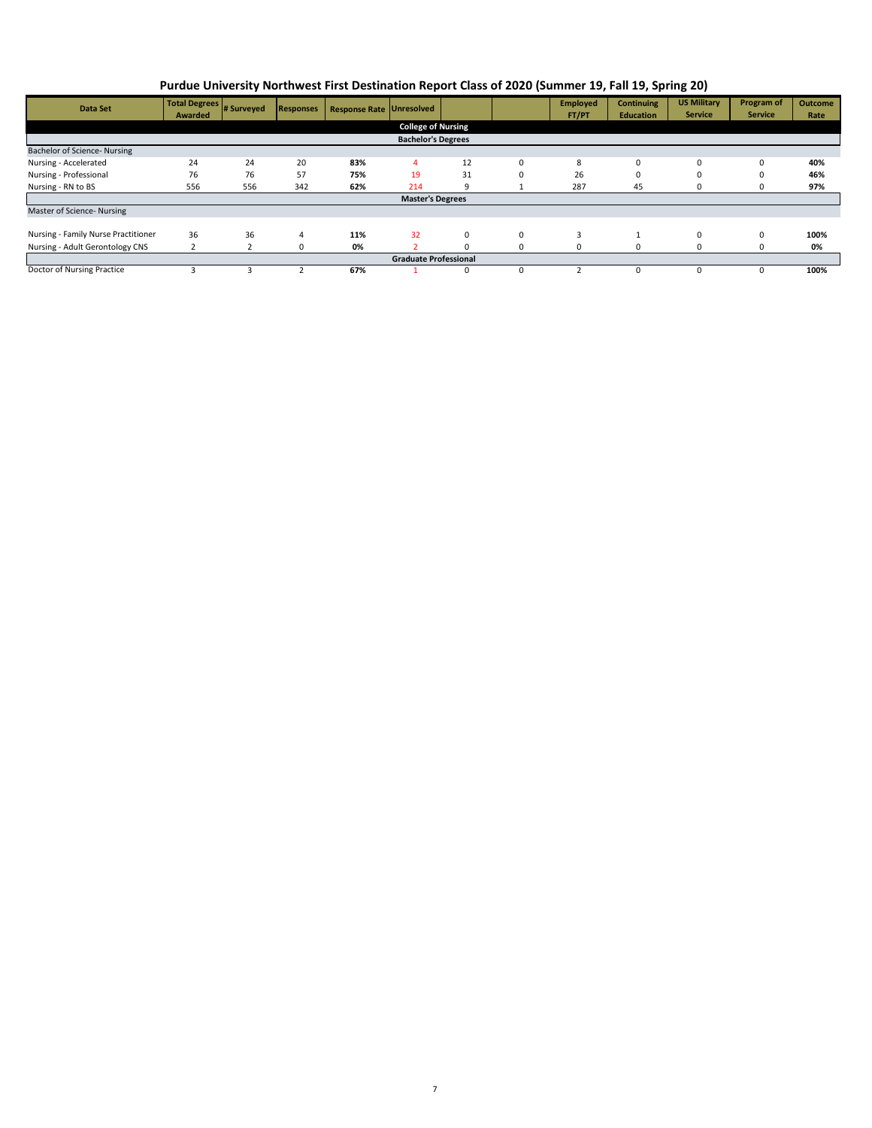| Data Set                            | Total Degrees<br>Awarded | # Surveyed | <b>Responses</b> | <b>Response Rate Unresolved</b> |                           |    |          | <b>Employed</b><br>FT/PT | <b>Continuing</b><br><b>Education</b> | <b>US Military</b><br><b>Service</b> | <b>Program of</b><br><b>Service</b> | <b>Outcome</b><br>Rate |
|-------------------------------------|--------------------------|------------|------------------|---------------------------------|---------------------------|----|----------|--------------------------|---------------------------------------|--------------------------------------|-------------------------------------|------------------------|
|                                     |                          |            |                  |                                 | <b>College of Nursing</b> |    |          |                          |                                       |                                      |                                     |                        |
| <b>Bachelor's Degrees</b>           |                          |            |                  |                                 |                           |    |          |                          |                                       |                                      |                                     |                        |
| Bachelor of Science- Nursing        |                          |            |                  |                                 |                           |    |          |                          |                                       |                                      |                                     |                        |
| Nursing - Accelerated               | 24                       | 24         | 20               | 83%                             | 4                         | 12 | $\Omega$ | 8                        | $\mathbf 0$                           | 0                                    | 0                                   | 40%                    |
| Nursing - Professional              | 76                       | 76         | 57               | 75%                             | 19                        | 31 | 0        | 26                       | 0                                     | $\Omega$                             | 0                                   | 46%                    |
| Nursing - RN to BS                  | 556                      | 556        | 342              | 62%                             | 214                       | 9  |          | 287                      | 45                                    | 0                                    | υ                                   | 97%                    |
| <b>Master's Degrees</b>             |                          |            |                  |                                 |                           |    |          |                          |                                       |                                      |                                     |                        |
| Master of Science- Nursing          |                          |            |                  |                                 |                           |    |          |                          |                                       |                                      |                                     |                        |
|                                     |                          |            |                  |                                 |                           |    |          |                          |                                       |                                      |                                     |                        |
| Nursing - Family Nurse Practitioner | 36                       | 36         | 4                | 11%                             | 32                        | 0  | $\Omega$ | 3                        |                                       | $\Omega$                             | 0                                   | 100%                   |
| Nursing - Adult Gerontology CNS     |                          |            | 0                | 0%                              |                           |    | 0        |                          | $\Omega$                              | $\Omega$                             | 0                                   | 0%                     |
| <b>Graduate Professional</b>        |                          |            |                  |                                 |                           |    |          |                          |                                       |                                      |                                     |                        |
| Doctor of Nursing Practice          |                          |            |                  | 67%                             |                           | 0  |          |                          | $\Omega$                              | $\Omega$                             | 0                                   | 100%                   |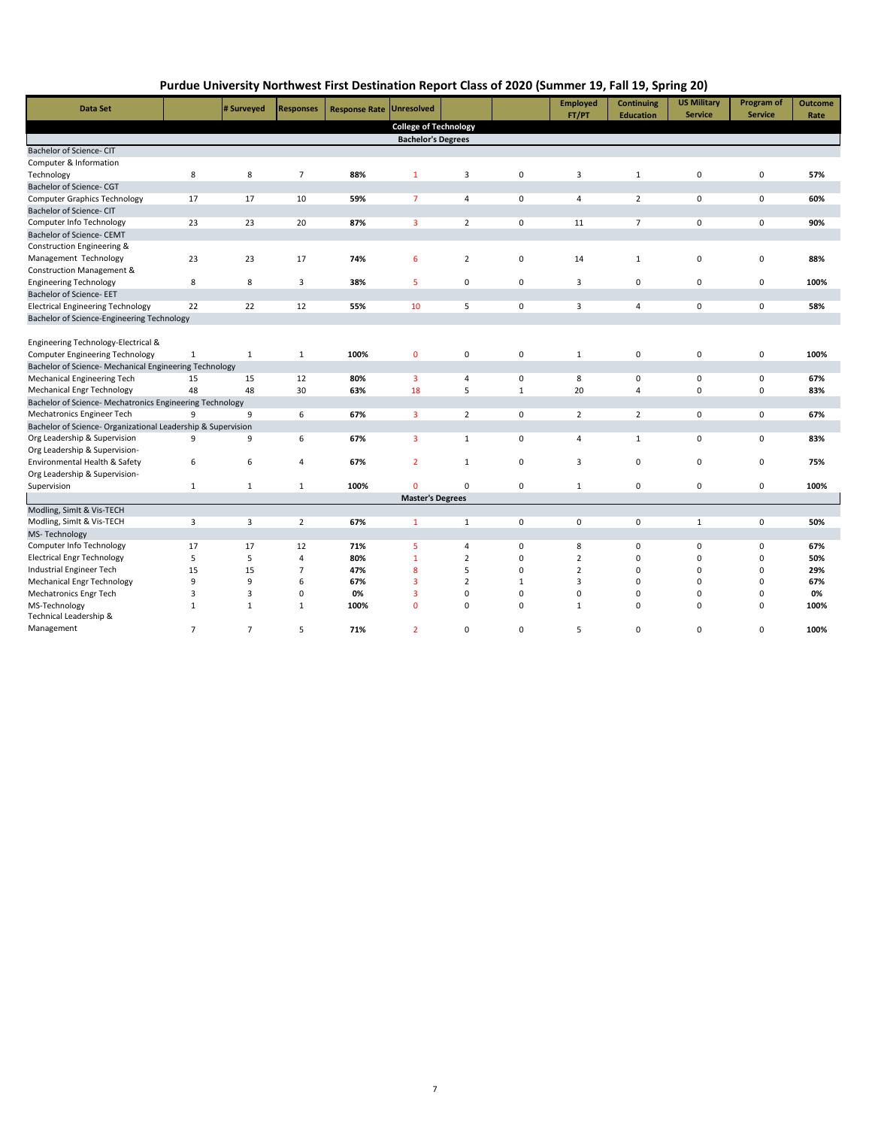| <b>Data Set</b>                                              |              | # Surveyed   | <b>Responses</b> | <b>Response Rate</b> | <b>Unresolved</b>            |                |              | <b>Employed</b><br>FT/PT | <b>Continuing</b> | <b>US Military</b><br><b>Service</b> | Program of<br><b>Service</b> | <b>Outcome</b> |
|--------------------------------------------------------------|--------------|--------------|------------------|----------------------|------------------------------|----------------|--------------|--------------------------|-------------------|--------------------------------------|------------------------------|----------------|
|                                                              |              |              |                  |                      | <b>College of Technology</b> |                |              |                          | <b>Education</b>  |                                      |                              | Rate           |
|                                                              |              |              |                  |                      | <b>Bachelor's Degrees</b>    |                |              |                          |                   |                                      |                              |                |
| Bachelor of Science- CIT                                     |              |              |                  |                      |                              |                |              |                          |                   |                                      |                              |                |
| Computer & Information                                       |              |              |                  |                      |                              |                |              |                          |                   |                                      |                              |                |
| Technology                                                   | 8            | 8            | $\overline{7}$   | 88%                  | $\mathbf{1}$                 | 3              | 0            | 3                        | $\mathbf{1}$      | $\mathbf 0$                          | $\mathbf 0$                  | 57%            |
| Bachelor of Science- CGT                                     |              |              |                  |                      |                              |                |              |                          |                   |                                      |                              |                |
| <b>Computer Graphics Technology</b>                          | 17           | 17           | 10               | 59%                  | $\overline{7}$               | $\overline{4}$ | $\Omega$     | 4                        | $\overline{2}$    | 0                                    | 0                            | 60%            |
| Bachelor of Science- CIT                                     |              |              |                  |                      |                              |                |              |                          |                   |                                      |                              |                |
| Computer Info Technology                                     | 23           | 23           | 20               | 87%                  | 3                            | $\overline{2}$ | $\mathbf 0$  | 11                       | $\overline{7}$    | $\mathbf 0$                          | $\mathbf 0$                  | 90%            |
| Bachelor of Science- CEMT                                    |              |              |                  |                      |                              |                |              |                          |                   |                                      |                              |                |
| Construction Engineering &                                   |              |              |                  |                      |                              |                |              |                          |                   |                                      |                              |                |
| Management Technology                                        | 23           | 23           | 17               | 74%                  | 6                            | $\overline{2}$ | 0            | 14                       | 1                 | $\mathbf 0$                          | $\mathbf 0$                  | 88%            |
| Construction Management &                                    |              |              |                  |                      |                              |                |              |                          |                   |                                      |                              |                |
| <b>Engineering Technology</b>                                | 8            | 8            | 3                | 38%                  | 5                            | 0              | $\mathbf 0$  | 3                        | 0                 | 0                                    | $\mathbf 0$                  | 100%           |
| Bachelor of Science- EET                                     |              |              |                  |                      |                              |                |              |                          |                   |                                      |                              |                |
| <b>Electrical Engineering Technology</b>                     | 22           | 22           | 12               | 55%                  | 10                           | 5              | 0            | 3                        | 4                 | $\mathbf 0$                          | $\mathbf 0$                  | 58%            |
| Bachelor of Science-Engineering Technology                   |              |              |                  |                      |                              |                |              |                          |                   |                                      |                              |                |
|                                                              |              |              |                  |                      |                              |                |              |                          |                   |                                      |                              |                |
| Engineering Technology-Electrical &                          |              |              |                  |                      |                              |                |              |                          |                   |                                      |                              |                |
| <b>Computer Engineering Technology</b>                       | $\mathbf{1}$ | $\mathbf{1}$ | $\mathbf{1}$     | 100%                 | $\mathbf{0}$                 | $\mathbf 0$    | $\mathbf 0$  | $\mathbf{1}$             | 0                 | $\pmb{0}$                            | $\mathbf 0$                  | 100%           |
| Bachelor of Science- Mechanical Engineering Technology       |              |              |                  |                      |                              |                |              |                          |                   |                                      |                              |                |
| Mechanical Engineering Tech                                  | 15           | 15           | 12               | 80%                  | 3                            | $\overline{4}$ | 0            | 8                        | 0                 | 0                                    | $\mathbf 0$                  | 67%            |
| <b>Mechanical Engr Technology</b>                            | 48           | 48           | 30               | 63%                  | 18                           | 5              | $\mathbf{1}$ | 20                       | $\overline{4}$    | 0                                    | $\mathbf 0$                  | 83%            |
| Bachelor of Science- Mechatronics Engineering Technology     |              |              |                  |                      |                              |                |              |                          |                   |                                      |                              |                |
| Mechatronics Engineer Tech                                   | 9            | 9            | 6                | 67%                  | 3                            | $\overline{2}$ | 0            | $\overline{2}$           | $\overline{2}$    | 0                                    | 0                            | 67%            |
| Bachelor of Science- Organizational Leadership & Supervision |              |              |                  |                      |                              |                |              |                          |                   |                                      |                              |                |
| Org Leadership & Supervision                                 | 9            | 9            | 6                | 67%                  | 3                            | $\mathbf{1}$   | $\Omega$     | 4                        | $\mathbf{1}$      | $\mathbf 0$                          | $\mathbf 0$                  | 83%            |
| Org Leadership & Supervision-                                |              |              |                  |                      |                              |                |              |                          |                   |                                      |                              |                |
| Environmental Health & Safety                                | 6            | 6            | $\overline{4}$   | 67%                  | $\overline{2}$               | $\mathbf{1}$   | 0            | 3                        | 0                 | $\mathbf 0$                          | $\mathbf 0$                  | 75%            |
| Org Leadership & Supervision-                                |              |              |                  |                      |                              |                |              |                          |                   |                                      |                              |                |
| Supervision                                                  | $\mathbf{1}$ | $\mathbf{1}$ | $\mathbf{1}$     | 100%                 | n                            | $\Omega$       | $\Omega$     | $\mathbf{1}$             | 0                 | $\mathbf 0$                          | $\mathbf 0$                  | 100%           |
|                                                              |              |              |                  |                      | <b>Master's Degrees</b>      |                |              |                          |                   |                                      |                              |                |

Modling, SimIt & Vis-TECH 3 3 2 **67%** 1 1 0 0 0 1 0 **50%** Computer Info Technology 17 17 12 **71%** 5 4 0 8 0 0 0 **67%** Electrical Engr Technology 5 5 4 **80%** 1 2 0 2 0 0 0 **50%** Industrial Engineer Tech 15 15 7 **47%** 8 5 0 2 0 0 0 **29%** Mechanical Engr Technology 9 9 6 **67%** 3 2 1 3 0 0 0 **67%** Mechatronics Engr Tech 3 3 0 **0%** 3 0 0 0 0 0 0 **0%** MS-Technology 1 1 1 **100%** 0 0 0 1 0 0 0 **100%** Technical Leadership & Management 7 7 5 **71%** 2 0 0 5 0 0 0 **100%**

Modling, SimIt & Vis-TECH

MS- Technology

## **Purdue University Northwest First Destination Report Class of 2020 (Summer 19, Fall 19, Spring 20)**